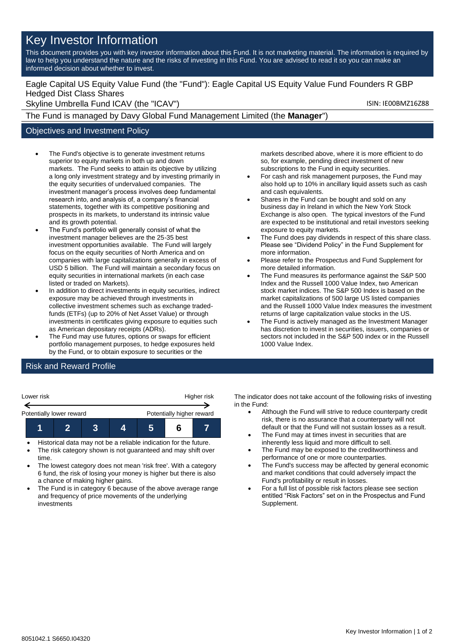# Key Investor Information

This document provides you with key investor information about this Fund. It is not marketing material. The information is required by law to help you understand the nature and the risks of investing in this Fund. You are advised to read it so you can make an informed decision about whether to invest.

## Eagle Capital US Equity Value Fund (the "Fund"): Eagle Capital US Equity Value Fund Founders R GBP Hedged Dist Class Shares

Skyline Umbrella Fund ICAV (the "ICAV") Skyline Umbrella Fund ICAV (the "ICAV")

The Fund is managed by Davy Global Fund Management Limited (the **Manager**")

### Objectives and Investment Policy

- The Fund's objective is to generate investment returns superior to equity markets in both up and down markets. The Fund seeks to attain its objective by utilizing a long only investment strategy and by investing primarily in the equity securities of undervalued companies. The investment manager's process involves deep fundamental research into, and analysis of, a company's financial statements, together with its competitive positioning and prospects in its markets, to understand its intrinsic value and its growth potential.
- The Fund's portfolio will generally consist of what the investment manager believes are the 25-35 best investment opportunities available. The Fund will largely focus on the equity securities of North America and on companies with large capitalizations generally in excess of USD 5 billion. The Fund will maintain a secondary focus on equity securities in international markets (in each case listed or traded on Markets).
- In addition to direct investments in equity securities, indirect exposure may be achieved through investments in collective investment schemes such as exchange tradedfunds (ETFs) (up to 20% of Net Asset Value) or through investments in certificates giving exposure to equities such as American depositary receipts (ADRs).
- The Fund may use futures, options or swaps for efficient portfolio management purposes, to hedge exposures held by the Fund, or to obtain exposure to securities or the

markets described above, where it is more efficient to do so, for example, pending direct investment of new subscriptions to the Fund in equity securities.

- For cash and risk management purposes, the Fund may also hold up to 10% in ancillary liquid assets such as cash and cash equivalents.
- Shares in the Fund can be bought and sold on any business day in Ireland in which the New York Stock Exchange is also open. The typical investors of the Fund are expected to be institutional and retail investors seeking exposure to equity markets.
- The Fund does pay dividends in respect of this share class. Please see "Dividend Policy" in the Fund Supplement for more information.
- Please refer to the Prospectus and Fund Supplement for more detailed information.
- The Fund measures its performance against the S&P 500 Index and the Russell 1000 Value Index, two American stock market indices. The S&P 500 Index is based on the market capitalizations of 500 large US listed companies and the Russell 1000 Value Index measures the investment returns of large capitalization value stocks in the US.
- The Fund is actively managed as the Investment Manager has discretion to invest in securities, issuers, companies or sectors not included in the S&P 500 index or in the Russell 1000 Value Index.

## Risk and Reward Profile

| Lower risk               |  |  |  | Higher risk               |  |  |
|--------------------------|--|--|--|---------------------------|--|--|
| Potentially lower reward |  |  |  | Potentially higher reward |  |  |
|                          |  |  |  |                           |  |  |

- Historical data may not be a reliable indication for the future.
- The risk category shown is not guaranteed and may shift over time.
- The lowest category does not mean 'risk free'. With a category 6 fund, the risk of losing your money is higher but there is also a chance of making higher gains.
- The Fund is in category 6 because of the above average range and frequency of price movements of the underlying investments

The indicator does not take account of the following risks of investing in the Fund:

- Although the Fund will strive to reduce counterparty credit risk, there is no assurance that a counterparty will not default or that the Fund will not sustain losses as a result.
- The Fund may at times invest in securities that are inherently less liquid and more difficult to sell.
- The Fund may be exposed to the creditworthiness and performance of one or more counterparties.
- The Fund's success may be affected by general economic and market conditions that could adversely impact the Fund's profitability or result in losses.
- For a full list of possible risk factors please see section entitled "Risk Factors" set on in the Prospectus and Fund Supplement.